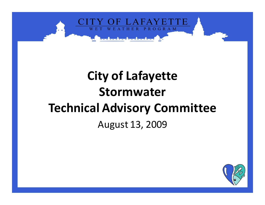

# **City of Lafayette StormwaterTechnical Advisory Committee**August 13, 2009

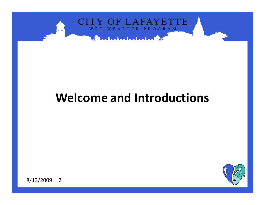

### **Welcome and Introductions**

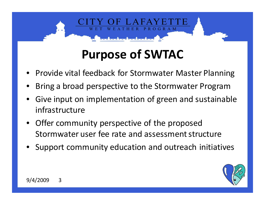# **Purpose of SWTAC**

OGRAM

- •**•** Provide vital feedback for Stormwater Master Planning
- •Bring a broad perspective to the Stormwater Program
- Give input on implementation of green and sustainable •infrastructure
- • Offer community perspective of the proposed Stormwater user fee rate and assessment structure
- •**•** Support community education and outreach initiatives

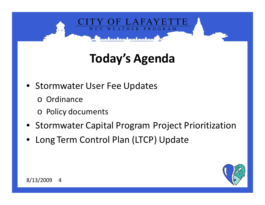

# **Today's Agenda**

- Stormwater User Fee Updates
	- o Ordinance
	- o Policy documents
- Stormwater Capital Program Project Prioritization
- Long Term Control Plan (LTCP) Update

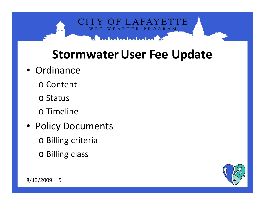

### **Stormwater User Fee Update**

- Ordinance
	- o Content
	- o Status
	- o Timeline
- Policy Documents
	- o Billing criteria
	- o Billing class

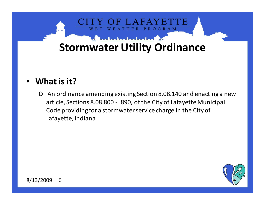

#### •**What is it?**

o An ordinance amending existing Section 8.08.140 and enacting a new article, Sections 8.08.800 - .890, of the City of Lafayette Municipal Code providing for a stormwater service charge in the City of Lafayette, Indiana

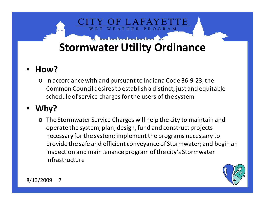**PROGRAM** 

#### •**How?**

o In accordance with and pursuant to Indiana Code 36-9-23, the Common Council desires to establish a distinct, just and equitable schedule of service charges for the users of the system

#### •**Why?**

o The Stormwater Service Charges will help the city to maintain and operate the system; plan, design, fund and construct projects necessary for the system; implement the programs necessary to provide the safe and efficient conveyance of Stormwater; and begin an inspection and maintenance program of the city's Stormwaterinfrastructure



8/13/2009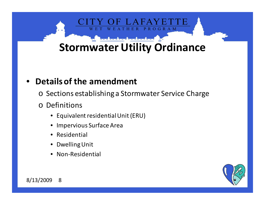### **PROGRAM Stormwater Utility Ordinance**

#### •**Details of the amendment**

- o Sections establishing a Stormwater Service Charge
- o Definitions
	- Equivalent residential Unit (ERU)
	- Impervious Surface Area
	- Residential
	- $\bullet$ Dwelling Unit
	- $\bullet$ Non-Residential

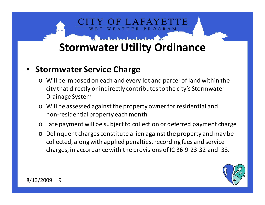**ROGRAM** 

#### •**Stormwater Service Charge**

- o Will be imposed on each and every lot and parcel of land within the city that directly or indirectly contributes to the city's StormwaterDrainage System
- o Will be assessed against the property owner for residential and non-residential property each month
- oLate payment will be subject to collection or deferred payment charge
- $\Omega$  Delinquent charges constitute a lien against the property and may be collected, along with applied penalties, recording fees and service charges, in accordance with the provisions of IC 36-9-23-32 and -33.

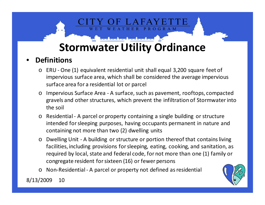**PROGRAM** 

#### •**Definitions**

- o ERU One (1) equivalent residential unit shall equal 3,200 square feet of impervious surface area, which shall be considered the average impervious surface area for a residential lot or parcel
- o Impervious Surface Area A surface, such as pavement, rooftops, compacted gravels and other structures, which prevent the infiltration of Stormwater into the soil
- o Residential A parcel or property containing a single building or structure intended for sleeping purposes, having occupants permanent in nature and containing not more than two (2) dwelling units
- o Dwelling Unit A building or structure or portion thereof that contains living facilities, including provisions for sleeping, eating, cooking, and sanitation, as required by local, state and federal code, for not more than one (1) family or congregate resident for sixteen (16) or fewer persons
- o Non-Residential A parcel or property not defined as residential

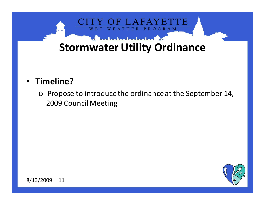

#### •**Timeline?**

o Propose to introduce the ordinance at the September 14, 2009 Council Meeting

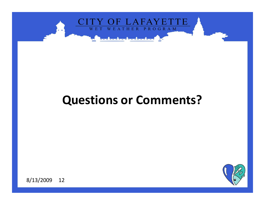

### **Questions or Comments?**

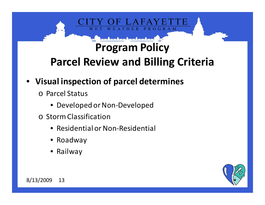### **Program PolicyParcel Review and Billing Criteria**

**ROGRAM** 

- **Visual inspection of parcel determines** 
	- o Parcel Status
		- Developed or Non-Developed
	- o Storm Classification
		- Residential or Non-Residential
		- Roadway
		- Railway

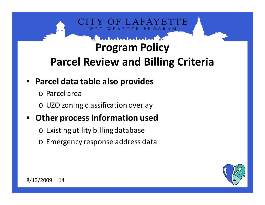### **Program PolicyParcel Review and Billing Criteria**

**ROGRAM** 

#### • **Parcel data table also provides**

- o Parcel area
- o UZO zoning classification overlay

#### •**Other process information used**

- $\circ$  Existing utility billing database
- o Emergency response address data

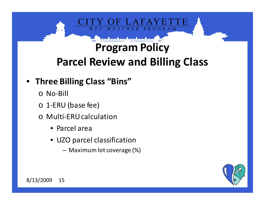# **PROGRAM**

### **Program PolicyParcel Review and Billing Class**

#### • **Three Billing Class "Bins"**

- o No-Bill
- o 1-ERU (base fee)
- o Multi-ERU calculation
	- Parcel area
	- UZO parcel classification
		- Maximum lot coverage (%)

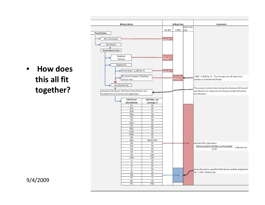- **Billing Criteria Billing Class Comments** Multi-ERU Calc. No-Bill 1-ERU **Parcel Status** Non-Developed ä Developed **Parcel Storm Class** Roadway ۰ Railway Residential Parcel Area < 1,500 Sq. Ft. Structure Contains 2 Dwelling 1 ERU = 3,200 Sq. Ft. - The average area of Impervious o Units or less Surface on a Residential Parcel Non-Residential This process includes determining the dominant UZO parcel Determine Dominant UZO Parcel Classification and .<br>|classification for single parcels having multiple UZO parcel Complete Parcel Classification Application classifications **UZO Parcel** UZO Max. Lot Classification Coverage %  $R1$  $30$ R<sub>1</sub>A 30  $R1B$  $35$ R1U 40  $R1Z$ 40  $R<sub>2</sub>$  $30$  $R2U$  $35$  $R3$ 40  $R3U$ 40 R<sub>3</sub>W  $40$  $40$ R4W **NB** 50 **NBU** 60/40 TBD OR  $25$ Mutliple ERU Calculation: (Parcel Area)(% UZO Max. Lot Coverage) MR 40 X Montly Fee  $GB$ 60 3,200 40  $HB$  $CB$ 100  $CBW$ 100  $|1|$ 25  $12$  $35$  $\overline{13}$  $45$  $\overline{\mathsf{A}}$ 20 As an alternative, specified UZO classes could be assigned to AA 10 the "1-ERU" Billing Class AW  $10$  $= 100$  $= 10$ FP 5  $RE$ 10 PD **TBD**
- $\bullet$  **How does this all fit together?**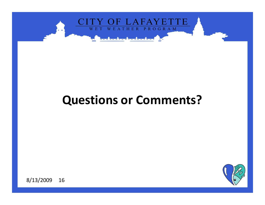

### **Questions or Comments?**

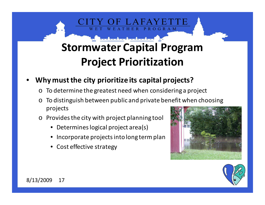## **Stormwater Capital ProgramProject Prioritization**

PROGRAM

- • **Why must the city prioritize its capital projects?**
	- o To determine the greatest need when considering a project
	- o To distinguish between public and private benefit when choosing projects
	- o Provides the city with project planning tool
		- Determines logical project area(s)
		- Incorporate projects into long term plan
		- Cost effective strategy



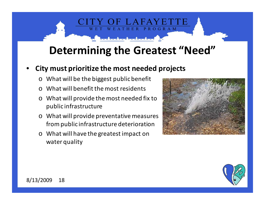### **Determining the Greatest "Need"**

THER PROGRAM

#### •**City must prioritize the most needed projects**

- o What will be the biggest public benefit
- o What will benefit the most residents
- o What will provide the most needed fix to public infrastructure
- o What will provide preventative measures from public infrastructure deterioration
- o What will have the greatest impact on water quality



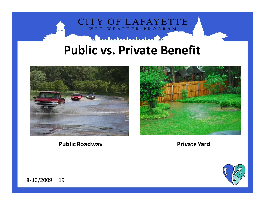

### **Public vs. Private Benefit**



**Public Roadway**



#### **Private Yard**

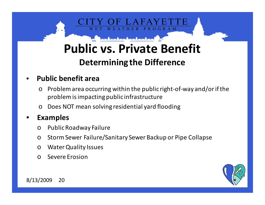# **Public vs. Private Benefit**

PROGRAM

#### **Determining the Difference**

#### •**Public benefit area**

- o Problem area occurring within the public right-of-way and/or if the problem is impacting public infrastructure
- oDoes NOT mean solving residential yard flooding

#### •**Examples**

- $\Omega$ Public Roadway Failure
- oStorm Sewer Failure/Sanitary Sewer Backup or Pipe Collapse
- oWater Quality Issues
- $\Omega$ Severe Erosion

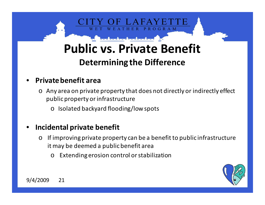

# **Public vs. Private Benefit**

#### **Determining the Difference**

#### •**Private benefit area**

- o Any area on private property that does not directly or indirectly effect public property or infrastructure
	- o Isolated backyard flooding/low spots

#### •**Incidental private benefit**

- o If improving private property can be a benefit to public infrastructure it may be deemed a public benefit area
	- oExtending erosion control or stabilization



9/4/2009 <sup>21</sup>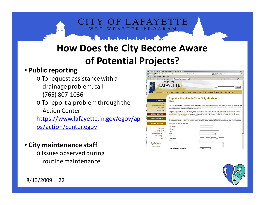### **How Does the City Become Aware of Potential Projects?**

THER

I AFAV

PROGRAM

#### • **Public reporting**

- o To request assistance with a drainage problem, call(765) 807-1036
- o To report a problem through the Action Center

https://www.lafayette.in.gov/egov/apps/action/center.egov

#### • **City maintenance staff**

o Issues observed during routine maintenance



![](_page_22_Picture_8.jpeg)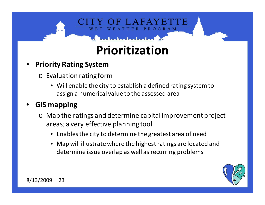# **Prioritization**

**ROGRAM** 

- • **Priority Rating System**
	- o Evaluation rating form
		- Will enable the city to establish a defined rating system to assign a numerical value to the assessed area

#### •**GIS mapping**

- o Map the ratings and determine capital improvement project areas; a very effective planning tool
	- Enables the city to determine the greatest area of need
	- Map will illustrate where the highest ratings are located and determine issue overlap as well as recurring problems

![](_page_23_Picture_8.jpeg)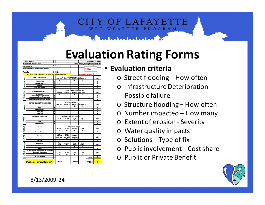## **Evaluation Rating Forms**

|                                                                        | City of Lafayette                                        |                              |                                      |                                    |                                                 | <b>Stormwater Program</b> |               |                     |
|------------------------------------------------------------------------|----------------------------------------------------------|------------------------------|--------------------------------------|------------------------------------|-------------------------------------------------|---------------------------|---------------|---------------------|
| <b>Stormwater Problem Area</b>                                         |                                                          |                              |                                      |                                    | <b>Initial Priority Rating Evaluation Sheet</b> |                           |               |                     |
|                                                                        |                                                          |                              |                                      |                                    |                                                 |                           |               |                     |
| <b>Street Address:</b><br>Nearest address or intersection of problem:  |                                                          |                              |                                      |                                    |                                                 |                           |               |                     |
|                                                                        |                                                          |                              |                                      |                                    |                                                 |                           | DRAFT         |                     |
|                                                                        | <b>Rating By:</b>                                        | Date:                        |                                      |                                    |                                                 |                           |               |                     |
| <b>INSTRUCTIONS: Fill in only 1 "X" per Group Rating as applicable</b> |                                                          |                              |                                      |                                    |                                                 | Revision Date: 08-12-2009 |               |                     |
|                                                                        |                                                          |                              |                                      |                                    |                                                 |                           |               |                     |
| STREET FLOODING                                                        | STREET CLASSIFICATION                                    |                              | Every Rain                           | <b>STREET FLOODING OCCURRENCES</b> | Once/1-2 Yr   Once/2-10 Yr   Once/10-25 Yr      |                           |               | Rating              |
|                                                                        |                                                          |                              | 4                                    | 3                                  | $\overline{2}$                                  | T                         |               |                     |
|                                                                        | <b>Primary Arterial</b>                                  | 4                            |                                      |                                    |                                                 |                           |               | 0                   |
|                                                                        | Secondary Arterial                                       | 3                            |                                      |                                    |                                                 |                           |               | $\overline{0}$      |
|                                                                        | Collector                                                | $\overline{2}$               |                                      |                                    |                                                 |                           |               | $\overline{0}$      |
|                                                                        | Local Street or Place                                    | $\overline{1}$               |                                      |                                    |                                                 |                           |               | O                   |
| INFRASTRUCTURE<br>DET BRIORATION                                       |                                                          |                              |                                      |                                    |                                                 |                           |               |                     |
|                                                                        | PUBLIC INFRASTRUCTURE TYPE                               |                              | <b>MAJOR FAILURE POSSIBLE WITHIN</b> |                                    |                                                 |                           |               |                     |
|                                                                        |                                                          |                              | Immediate                            | 1-2 Years                          | 3-5 Years                                       | 6-10+ Years<br>Ŧ          |               | Rating              |
|                                                                        | (as applicable)<br>Arterial/Sanitary Int/Major Tributary | 4                            | 4                                    | 3                                  | $\overline{2}$                                  |                           |               | 0                   |
|                                                                        | Collector/Storm/Sanitary Collector/Stream                | 3                            |                                      |                                    |                                                 |                           |               | 0                   |
|                                                                        | Local Storm/Sanitary Main/Road Drainage                  | $\overline{2}$               |                                      |                                    |                                                 |                           |               | $\overline{0}$      |
|                                                                        |                                                          |                              |                                      |                                    |                                                 |                           |               |                     |
| ROODED                                                                 | PROPERTY OR FACILITY CLASSIFICATION                      |                              |                                      |                                    | <b>FLOODING FREQUENCY</b>                       |                           |               |                     |
|                                                                        |                                                          |                              | Every Rain                           | Once/1-2 Yr                        | Onoe/2-10 Yr                                    | Once/10-25 Yr             |               | Rating              |
|                                                                        |                                                          |                              | 4                                    | 3                                  | 2                                               |                           |               |                     |
|                                                                        | Homes                                                    | 4<br>$\overline{\mathbf{3}}$ |                                      |                                    |                                                 |                           |               | 0                   |
|                                                                        | Business/industry<br>Parking Lots                        | $\overline{2}$               |                                      |                                    |                                                 |                           |               | $\overline{0}$      |
|                                                                        | Yards / Fields                                           | 1                            |                                      |                                    |                                                 |                           |               | 0<br>$\overline{0}$ |
|                                                                        |                                                          |                              |                                      |                                    |                                                 |                           |               |                     |
| NUMBER<br>IMPACTED                                                     | PROPERTY CLASSIFICATION                                  |                              |                                      | NUMBER OF FEATURES AFFECTED        |                                                 |                           |               |                     |
|                                                                        |                                                          |                              | $1 - 10$                             | $11 - 25$                          | $26 - 50$                                       | > 50                      |               | Rating              |
|                                                                        |                                                          |                              | 1                                    | $\overline{\mathbf{2}}$            | 3                                               | 4                         |               |                     |
|                                                                        | Homes                                                    | 4                            |                                      |                                    |                                                 |                           |               | 0                   |
|                                                                        | Business/industry                                        | $\overline{2}$               |                                      |                                    |                                                 |                           |               | $\overline{0}$      |
| EXTENT OF                                                              | Erosion                                                  |                              |                                      | <b>LINEAL FEET OF EROSION</b>      |                                                 |                           |               |                     |
|                                                                        |                                                          |                              | $10 - 100$                           | $101 - 250$                        | $251 - 500$                                     | > 500                     |               | Rating              |
|                                                                        |                                                          |                              | 10                                   | 20                                 | 30                                              | 40                        |               |                     |
|                                                                        | Observed Erosion                                         |                              |                                      |                                    |                                                 |                           |               | $\overline{0}$      |
|                                                                        |                                                          |                              | Non-                                 | Erosion                            |                                                 |                           |               |                     |
| <b>WATER</b><br>QUALITY                                                | (Area Type)                                              |                              | Combined                             | Effecting                          | Combined                                        |                           |               |                     |
|                                                                        |                                                          |                              | <b>Sewer Area</b>                    | Water Quality                      | Sewer Area                                      |                           |               | Rating              |
|                                                                        |                                                          |                              | 5                                    | 10                                 | 15                                              |                           |               | Ō                   |
|                                                                        | Area Type                                                |                              |                                      |                                    |                                                 |                           |               |                     |
| <b>SOLUTIONS</b>                                                       | <b>Resolution Type</b>                                   |                              | <b>Storm</b>                         | Structural                         | <b>Bridge/</b>                                  | Open                      |               |                     |
|                                                                        |                                                          |                              | Sewer                                | <b>BMP</b>                         | Culvert                                         | Channel                   |               | Rating              |
|                                                                        |                                                          |                              | $\overline{\mathbf{2}}$              | 4                                  | G                                               | 8                         |               |                     |
|                                                                        | Solution                                                 |                              |                                      |                                    |                                                 |                           |               | 0                   |
| <b>PUBLIC</b><br>INVOLVE                                               | COST SHARE (When property owner ask to participate       |                              |                                      |                                    |                                                 |                           |               |                     |
|                                                                        | or is required for a solution)                           |                              | >75%                                 | 26 - 75%                           | $6 - 25%$                                       | $0 - 5%$                  |               | Rating              |
|                                                                        |                                                          |                              | 15                                   | 10                                 | 5                                               | 0                         |               |                     |
|                                                                        | % by Developer/Owner                                     |                              |                                      |                                    |                                                 |                           |               | U                   |
|                                                                        |                                                          |                              |                                      |                                    |                                                 |                           | Subtotal      | ŵ                   |
|                                                                        |                                                          |                              | <b>Public</b>                        |                                    | Private                                         |                           | <b>IPR</b>    |                     |
|                                                                        | <b>Public or Private Benefit?</b>                        |                              |                                      |                                    |                                                 |                           | <b>RATING</b> | $\overline{0}$      |

#### • **Evaluation criteria**

o Street flooding – How often

PROGRAM

- o Infrastructure Deterioration Possible failure
- o Structure flooding How often
- o Number impacted How many
- o Extent of erosion Severity
- o Water quality impacts
- o Solutions Type of fix
- o Public involvement Cost share
- o Public or Private Benefit

![](_page_24_Picture_12.jpeg)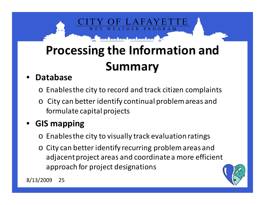# **Processing the Information and Summary**

**ROGRAM** 

#### •**Database**

- o Enables the city to record and track citizen complaints
- o City can better identify continual problem areas and formulate capital projects

#### •**GIS mapping**

- $\circ$  Enables the city to visually track evaluation ratings
- o City can better identify recurring problem areas and adjacent project areas and coordinate a more efficient approach for project designations

![](_page_25_Picture_7.jpeg)